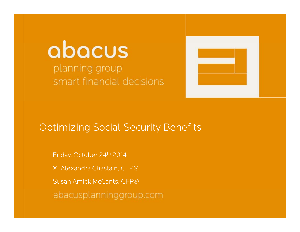## abacus planning group smart financial decisions



### Optimizing Social Security Benefits

Friday, October 24th 2014 X. Alexandra Chastain, CFP® Susan Amick McCants, CFP®abacusplanninggroup.com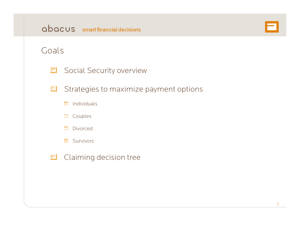

#### Goals

| □ Social Security overview                    |
|-----------------------------------------------|
| $\Box$ Strategies to maximize payment options |
| $\Box$ Individuals                            |

|  |  | ומנונ |  |
|--|--|-------|--|
|--|--|-------|--|

#### Divorced

Survivors

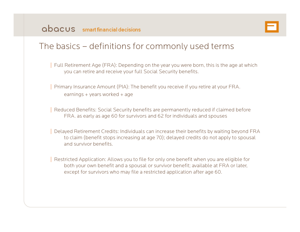

### The basics – definitions for commonly used terms

| Full Retirement Age (FRA): Depending on the year you were born, this is the age at which you can retire and receive your full Social Security benefits.

| Primary Insurance Amount (PIA): The benefit you receive if you retire at your FRA. earnings + years worked + age

| Reduced Benefits: Social Security benefits are permanently reduced if claimed before FRA. as early as age 60 for survivors and 62 for individuals and spouses

| Delayed Retirement Credits: Individuals can increase their benefits by waiting beyond FRA to claim (benefit stops increasing at age 70); delayed credits do not apply to spousal and survivor benefits.

Restricted Application: Allows you to file for only one benefit when you are eligible for both your own benefit and a spousal or survivor benefit; available at FRA or later, except for survivors who may file a restricted application after age 60.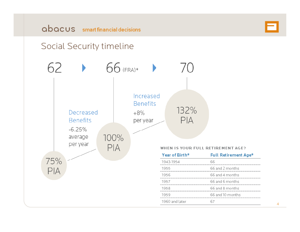# abacus smart financial decisions **EI**<br>Social Security timeline



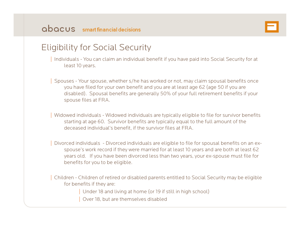

### Eligibility for Social Security

| Individuals - You can claim an individual benefit if you have paid into Social Security for at least 10 years.

| Spouses - Your spouse, whether s/he has worked or not, may claim spousal benefits once you have filed for your own benefit and you are at least age 62 (age 50 if you are disabled). Spousal benefits are generally 50% of your full retirement benefits if your spouse files at FRA.

| Widowed individuals - Widowed individuals are typically eligible to file for survivor benefits starting at age 60. Survivor benefits are typically equal to the full amount of the deceased individual's benefit, if the survivor files at FRA.

| Divorced individuals - Divorced individuals are eligible to file for spousal benefits on an exspouse's work record if they were married for at least 10 years and are both at least 62 years old. If you have been divorced less than two years, your ex-spouse must file for benefits for you to be eligible.

| Children - Children of retired or disabled parents entitled to Social Security may be eligible for benefits if they are:

Under 18 and living at home (or 19 if still in high school)

Over 18, but are themselves disabled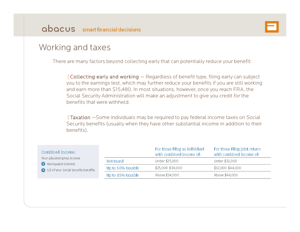

### Working and taxes

There are many factors beyond collecting early that can potentially reduce your benefit:

 $\vert$  Collecting early and working  $-$  Regardless of benefit type, filing early can subject you to the earnings test, which may further reduce your benefits if you are still working and earn more than \$15,480. In most situations, however, once you reach FRA, the Social Security Administration will make an adjustment to give you credit for the benefits that were withheld.

| Taxation —Some individuals may be required to pay federal income taxes on Social Security benefits (usually when they have other substantial income in addition to their benefits).

| Combined income:                                  |                   | For those filing as individual<br>with combined income of: | For those filing joint return<br>with combined income of: |  |
|---------------------------------------------------|-------------------|------------------------------------------------------------|-----------------------------------------------------------|--|
| Your adjusted gross income<br>Nontaxable interest | Not taxed         | Under \$25,000                                             | Under \$32,000                                            |  |
| 1/2 of your Social Security benefits              | Up to 50% taxable | \$25,000 \$34,000                                          | \$32,000 \$44,000                                         |  |
|                                                   | Up to 85% taxable | Above \$34,000                                             | Above \$44,000                                            |  |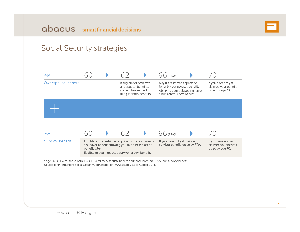

## Social Security strategies Social. Security strategies



\*Age 66 is FRA for those born 1943-1954 for own/spousal benefit and those born 1945-1956 for survivor benefit. \*Age 66 is FRA for those born 1943-1954 for own/spousal benefit and those born 1945-1956 for survivor benefit<br>Source for information: Social Security Administration, www.ssa.gov, as of August 2014.<br>.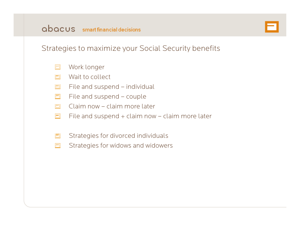

#### Strategies to maximize your Social Security benefits

- $\Box$ Work longer
- Wait to collect $\Box$
- File and suspend individual  $\Box$
- File and suspend couple  $\Box$
- $\Box$ Claim now – claim more later
- $\Box$ File and suspend  $+$  claim now  $-$  claim more later
- $\Box$ Strategies for divorced individuals
- Strategies for widows and widowers 曰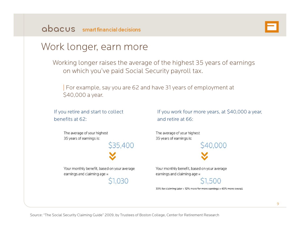

### Work longer, earn more

Working longer raises the average of the highest 35 years of earnings on which you've paid Social Security payroll tax.

| For example, say you are 62 and have 31 years of employment at \$40,000 a year.

If you retire and start to collect benefits at 62:

If you work four more years, at \$40,000 a year, and retire at 66:

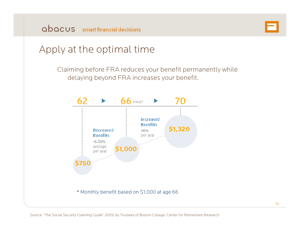

### Apply at the optimal time

Claiming before FRA reduces your benefit permanently while delaying beyond FRA increases your benefit.

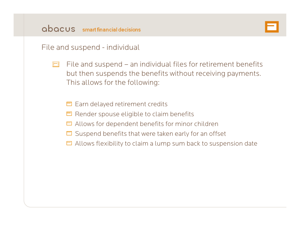

File and suspend - individual

- File and suspend an individual files for retirement benefits 同 but then suspends the benefits without receiving payments. This allows for the following:
	- $\Box$  Earn delayed retirement credits
	- $\Box$  Render spouse eligible to claim benefits
	- $\Box$  Allows for dependent benefits for minor children
	- $\Box$  Suspend benefits that were taken early for an offset
	- $\Box$  Allows flexibility to claim a lump sum back to suspension date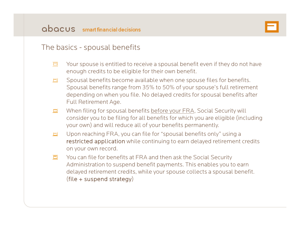#### The basics - spousal benefits

- 曰 Your spouse is entitled to receive a spousal benefit even if they do not have enough credits to be eligible for their own benefit.
- $\Box$ Spousal benefits become available when one spouse files for benefits. Spousal benefits range from 35% to 50% of your spouse's full retirement depending on when you file. No delayed credits for spousal benefits after Full Retirement Age.
- When filing for spousal benefits before your FRA, Social Security will 曰 consider you to be filing for all benefits for which you are eligible (including your own) and will reduce all of your benefits permanently.
- Upon reaching FRA, you can file for "spousal benefits only" using a  $\Box$ restricted application while continuing to earn delayed retirement credits on your own record.
- $\blacksquare$ You can file for benefits at FRA and then ask the Social Securit y Administration to suspend benefit payments. This enables you to earn delayed retirement credits, while your spouse collects a spousal benefit. (file + suspend strategy)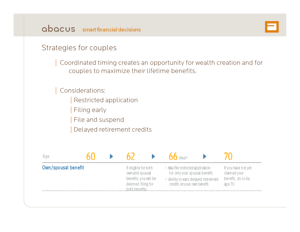

#### Strategies for couples

| Coordinated timing creates an opportunity for wealth creation and for couples to maximize their lifetime benefits.

#### | Considerations:

- Restricted application
- Filing early
- File and suspend
- Delayed retirement credits

| Age                 |  |                                                                                                         | $\mathsf{h}\mathsf{h}$ (FRA) <sup>x</sup>                                                                                                   |                                                                     |
|---------------------|--|---------------------------------------------------------------------------------------------------------|---------------------------------------------------------------------------------------------------------------------------------------------|---------------------------------------------------------------------|
| Own/spousal benefit |  | If eligible for both<br>own and spousal<br>benefits, you will be<br>deemed filing for<br>both benefits. | · May file restricted application<br>for only your spousal benefit.<br>. Ability to earn delayed retirement<br>credits on your own benefit. | If you have not yet<br>claimed your<br>benefit, do so by<br>age 70. |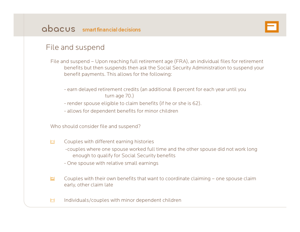

#### File and suspend

File and suspend – Upon reaching full retirement age (FRA), an individual files for retirement benefits but then suspends then ask the Social Security Administration to suspend your benefit payments. This allows for the following:

- earn delayed retirement credits (an additional 8 percent for each year until you turn age 70.)
- render spouse eligible to claim benefits (if he or she is 62).
- allows for dependent benefits for minor children

Who should consider file and suspend?

- Couples with different earning histories 巨山
	- -couples where one spouse worked full time and the other spouse did not work long enough to qualify for Social Security benefits
	- One spouse with relative small earnings
- Couples with their own benefits that want to coordinate claiming one spouse claim ĿТ. early, other claim late
- Individuals/couples with minor dependent childrenH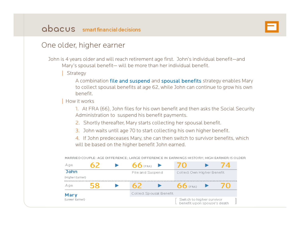

#### One older, higher earner

John is 4 years older and will reach retirement age first. John's individual benefit—and Mary's spousal benefit— will be more than her individual benefit.

Strategy

A combination file and suspend and spousal benefits strategy enables Mary to collect spousal benefits at age 62, while John can continue to grow his own benefit.

| How it works

1. At FRA (66), John files for his own benefit and then asks the Social Security Administration to suspend his benefit payments.

- 2. Shortly thereafter, Mary starts collecting her spousal benefit.
- 3. John waits until age 70 to start collecting his own higher benefit.

4. If John predeceases Mary, she can then switch to survivor benefits, which will be based on the higher benefit John earned.

| Age             |    | $66$ (FRA)       |                         | 94 D.                                                    | ′4  |
|-----------------|----|------------------|-------------------------|----------------------------------------------------------|-----|
| <b>John</b>     |    | File and Suspend |                         | Collect Own Higher Benefit                               |     |
| (Higher Earner) |    |                  |                         |                                                          |     |
| Age             | 58 |                  |                         | 66 (FRA)                                                 | 8 D |
| Mary            |    |                  | Collect Spousal Benefit |                                                          |     |
| (Lower Earner)  |    |                  |                         | Switch to higher survivor<br>benefit upon spouse's death |     |

MARRIED COUPLE: AGE DIFFERENCE; LARGE DIFFERENCE IN EARNINGS HISTORY; HIGH EARNER IS OLDER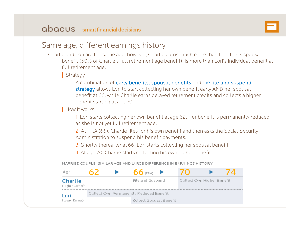

#### Same age, different earnings history

Charlie and Lori are the same age; however, Charlie earns much more than Lori. Lori's spousal benefit (50% of Charlie's full retirement age benefit), is more than Lori's individual benefit at full retirement age.

**Strategy** 

A combination of early benefits, spousal benefits and the file and suspend strategy allows Lori to start collecting her own benefit early AND her spousal benefit at 66, while Charlie earns delayed retirement credits and collects a higher benefit starting at age 70.

| How it works

1. Lori starts collecting her own benefit at age 62. Her benefit is permanently reduced as she is not yet full retirement age.

2. At FRA (66), Charlie files for his own benefit and then asks the Social Security Administration to suspend his benefit payments.

3. Shortly thereafter at 66, Lori starts collecting her spousal benefit.

4. At age 70, Charlie starts collecting his own higher benefit.

MARRIED COUPLE: SIMILAR AGE AND LARGE DIFFERENCE IN EARNINGS HISTORY

| Age                               |  | (FRA)                                   |                            |  |
|-----------------------------------|--|-----------------------------------------|----------------------------|--|
| <b>Charlie</b><br>(Higher Earner) |  | File and Suspend                        | Collect Own Higher Benefit |  |
| Lori                              |  | Collect Own Permanently Reduced Benefit |                            |  |
| (Lower Earner)                    |  | Collect Spousal Benefit                 |                            |  |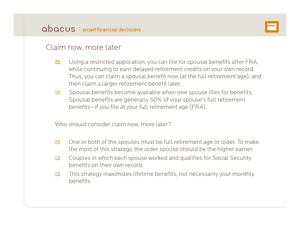

#### Claim now, more later

- b. Using a restricted application, you can file for spousal benefits after FRA, while continuing to earn delayed retirement credits on your own record. Thus, you can claim a spousal benefit now (at the full retirement age), and then claim a larger retirement benefit later.
- Spousal benefits become available when one spouse files for benefits.  $\Box$ Spousal benefits are generally 50% of your spouse's full retirement benefits—if you file at your full retirement age (FRA).

Who should consider claim now, more later?

- One or both of the spouses must be full retirement age or older. To make  $\Box$ the most of this strategy, the older spouse should be the higher earner.
- Couples in which each spouse worked and qualifies for Social Security E benefits on their own record.
- $\Box$ This strategy maximizes lifetime benefits, not necessarily your monthly benefits.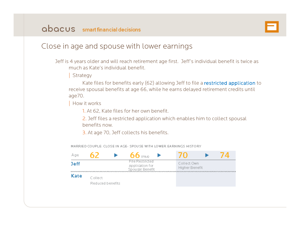

#### Close in age and spouse with lower earnings

Jeff is 4 years older and will reach retirement age first. Jeff's individual benefit is twice as much as Kate's individual benefit.

**Strategy** 

Kate files for benefits early (62) allowing Jeff to file a restricted application to receive spousal benefits at age 66, while he earns delayed retirement credits until age70.

| How it works

1. At 62, Kate files for her own benefit.

2. Jeff files a restricted application which enables him to collect spousal benefits now.

3. At age 70, Jeff collects his benefits.



MARRIED COUPLE: CLOSE IN AGE- SPOUSE WITH LOWER EARNINGS HISTORY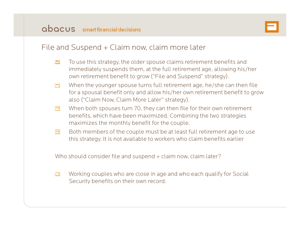

#### File and Suspend + Claim now, claim more later

- $\Box$ To use this strategy, the older spouse claims retirement benefits and immediately suspends them, at the full retirement age, allowing his/her own retirement benefit to grow ("File and Suspend" strategy).
- When the younger spouse turns full retirement age, he/she can then file EТ for a spousal benefit only and allow his/her own retirement benefit to grow also (" Claim Now, Claim More Later" strategy).
- When both spouses turn 70, they can then file for their own retirement 同 benefits, which have been maximized. Combining the two strategies maximizes the monthly benefit for the couple.
- E Both members of the couple must be at least full retirement age to use this strategy. It is not available to workers who claim benefits earlier

Who should consider file and suspend + claim now, claim later?

 $\Box$ Working couples who are close in age and who each qualify for Social Security benefits on their own record.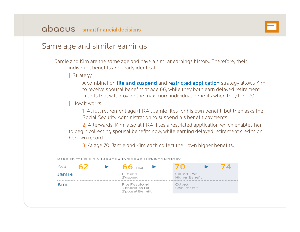

#### Same age and similar earnings

Jamie and Kim are the same age and have a similar earnings history. Therefore, their individual benefits are nearly identical.

**Strategy** 

A combination file and suspend and restricted application strategy allows Kim to receive spousal benefits at age 66, while they both earn delayed retirement credits that will provide the maximum individual benefits when they turn 70.

| How it works

1. At full retirement age (FRA), Jamie files for his own benefit, but then asks the Social Security Administration to suspend his benefit payments.

2. Afterwards, Kim, also at FRA, files a restricted application which enables her to begin collecting spousal benefits now, while earning delayed retirement credits on  $\,$ her own record.

3. At age 70, Jamie and Kim each collect their own higher benefits.



MARRIED COUPLE: SIMILAR AGE AND SIMILAR EARNINGS HISTORY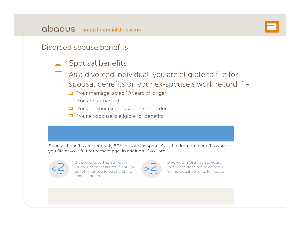

#### Divorced spouse benefits

- Spousal benefits  $\Box$
- As a divorced individual, you are eligible to file for spousal benefits on your ex-spouse's work record if –
	- $\Box$  Your marriage lasted 10 years or longer
	- $\Box$  You are unmarried
	- $\Box$  You and your ex-spouse are 62 or older
	- $\Box$  Your ex-spouse is eligible for benefits

Spousal benefits are generally 50% of your ex-spouse's full retirement benefits when you file at your full retirement age. In addition, if you are:



#### Divorced less than 2 years

Ex-spouse must file for individual benefits for you to be eligible for spousal benefits.



#### Divorced more than 2 years Ex-spouse does not need to file

for individual benefits for you to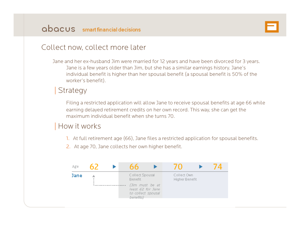

#### Collect now, collect more later

Jane and her ex-husband Jim were married for 12 years and have been divorced for 3 years. Jane is a few years older than Jim, but she has a similar earnings history. Jane's individual benefit is higher than her spousal benefit (a spousal benefit is 50% of the worker's benefit).

#### **Strategy**

Filing a restricted application will allow Jane to receive spousal benefits at age 66 while earning delayed retirement credits on her own record. This way, she can get the maximum individual benefit when she turns 70.

#### How it works

- 1. At full retirement age (66), Jane files a restricted application for spousal benefits.
- 2. At age 70, Jane collects her own higher benefit.

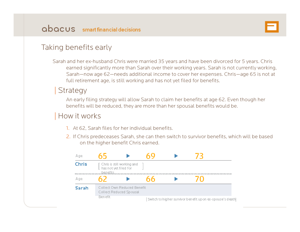

#### Taking benefits early

Sarah and her ex-husband Chris were married 35 years and have been divorced for 5 years. Chris earned significantly more than Sarah over their working years. Sarah is not currently working, Sarah—now age 62—needs additional income to cover her expenses. Chris—age 65 is not at full retirement age, is still working and has not yet filed for benefits.

#### **Strategy**

An early filing strategy will allow Sarah to claim her benefits at age 62. Even though her benefits will be reduced, they are more than her spousal benefits would be.

#### How it works

- 1. At 62, Sarah files for her individual benefits.
- 2. If Chris predeceases Sarah, she can then switch to survivor benefits, which will be based on the higher benefit Chris earned.

| Age          | mh                                          |                                                        |  |                                                           |  |
|--------------|---------------------------------------------|--------------------------------------------------------|--|-----------------------------------------------------------|--|
| <b>Chris</b> | $\lfloor$ has not yet filed for<br>benefits | [ Chris is still working and                           |  |                                                           |  |
| Age          |                                             |                                                        |  |                                                           |  |
| <b>Sarah</b> |                                             | Collect Own Reduced Benefit<br>Collect Reduced Spousal |  |                                                           |  |
|              | Benefit                                     |                                                        |  | Switch to higher survivor benefit upon ex-spouse's death] |  |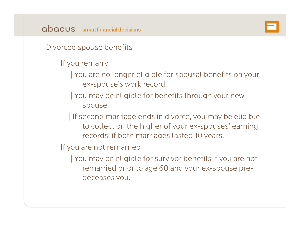

Divorced spouse benefits

- | If you remarry
	- You are no longer eligible for spousal benefits on your ex-spouse's work record.
	- You may be eligible for benefits through your new spouse.
	- | If second marriage ends in divorce, you may be eligible to collect on the higher of your ex-spouses' earning records, if both marriages lasted 10 years.
- If you are not remarried
	- | You may be eligible for survivor benefits if you are not remarried prior to age 60 and your ex-spouse predeceases you.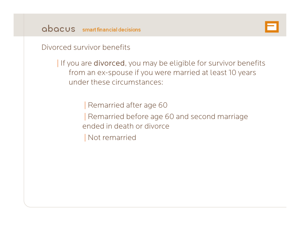

Divorced survivor benefits

| If you are divorced, you may be eligible for survivor benefits from an ex-spouse if you were married at least 10 years under these circumstances:

> | Remarried after age 60 | Remarried before age 60 and second marriage ended in death or divorce| Not remarried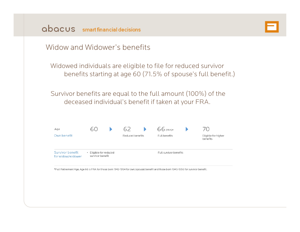

#### Widow and Widower's benefits

Widowed individuals are eligible to file for reduced survivor benefits starting at age 60 (71.5% of spouse's full benefit.)

Survivor benefits are equal to the full amount (100%) of the deceased individual's benefit if taken at your FRA.

| Age                                   |                                            | h/               | 66 (FRA)*              | 70                              |
|---------------------------------------|--------------------------------------------|------------------|------------------------|---------------------------------|
| Own benefit                           |                                            | Reduced benefits | Full benefits          | Eligible for higher<br>benefits |
| Survivor benefit<br>for widow/widower | • Eligible for reduced<br>survivor benefit |                  | Full survivor benefits |                                 |

\*Full Retirement Age. Age 66 is FRA for those born 1943-1954 for own/spousal benefit and those born 1945-1956 for survivor benefit.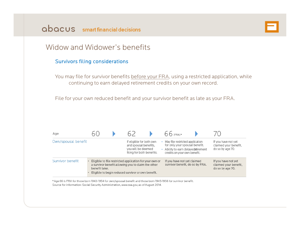

#### Widow and Widower's benefits

#### Survivors filing considerations

You may file for survivor benefits before your FRA, using a restricted application, while continuing to earn delayed retirement credits on your own record.

File for your own reduced benefit and your survivor benefit as late as your FRA.

| Age                 |                                                                                                      |  |                                                                                                                                                                     |                                                                  | 66 (FRA)*                                                      |                                                                  |
|---------------------|------------------------------------------------------------------------------------------------------|--|---------------------------------------------------------------------------------------------------------------------------------------------------------------------|------------------------------------------------------------------|----------------------------------------------------------------|------------------------------------------------------------------|
| Own/spousal benefit | If eligible for both own<br>and spousal benefits.<br>you will be deemed<br>filing for both benefits. |  | May file restricted application<br>for only your spousal benefit.<br>Ability to earn delayed atirement<br>credits on your own benefit.                              | If you have not yet<br>claimed your benefit.<br>do so by age 70. |                                                                |                                                                  |
| Survivor benefit    | benefit later.                                                                                       |  | Eligible to file restricted application for your own or<br>a survivor benefit allowing you to claim the other<br>Eligible to begin reduced survivor or own benefit. |                                                                  | If you have not yet claimed<br>survivor benefit, do so by FRA. | If you have not yet<br>claimed your benefit,<br>do so by age 70. |

\*Age 66 is FRA for those born 1943-1954 for own/spousal benefit and those born 1945-1956 for survivor benefit. Source for information: Social Security Administration, www.ssa.gov, as of August 2014.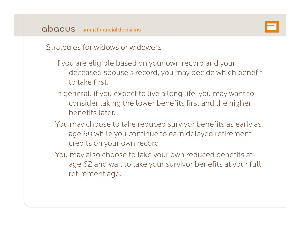

Strategies for widows or widowers

- If you are eligible based on your own record and your deceased spouse's record, you may decide which benefit to take first.
- In general, if you expect to live a long life, you may want to consider taking the lower benefits first and the higher benefits later.
- You may choose to take reduced survivor benefits as early as age 60 while you continue to earn delayed retirement credits on your own record.
- You may also choose to take your own reduced benefits at age 62 and wait to take your survivor benefits at your full retirement age.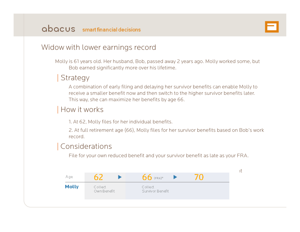

#### Widow with lower earnings record

Molly is 61 years old. Her husband, Bob, passed away 2 years ago. Molly worked some, but Bob earned significantly more over his lifetime.

#### **Strategy**

A combination of early filing and delaying her survivor benefits can enable Molly to receive a smaller benefit now and then switch to the higher survivor benefits later. This way, she can maximize her benefits by age 66.

#### How it works

1. At 62, Molly files for her individual benefits.

2. At full retirement age (66), Molly files for her survivor benefits based on Bob's work record.

#### | Considerations

File for your own reduced benefit and your survivor benefit as late as your FRA.

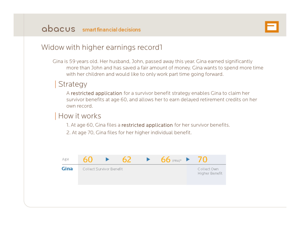

#### Widow with higher earnings record1

Gina is 59 years old. Her husband, John, passed away this year. Gina earned significantly more than John and has saved a fair amount of money. Gina wants to spend more time with her children and would like to only work part time going forward.

#### **Strategy**

A restricted application for a survivor benefit strategy enables Gina to claim her survivor benefits at age 60, and allows her to earn delayed retirement credits on her own record.

#### How it works

1. At age 60, Gina files a restricted application for her survivor benefits.

2. At age 70, Gina files for her higher individual benefit.

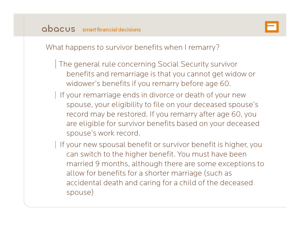

What happens to survivor benefits when I remarry?

- The general rule concerning Social Security survivor benefits and remarriage is that you cannot get widow or widower's benefits if you remarry before age 60.
- If your remarriage ends in divorce or death of your new spouse, your eligibility to file on your deceased spouse's record may be restored. If you remarry after age 60, you are eligible for survivor benefits based on your deceased spouse's work record.
- If your new spousal benefit or survivor benefit is higher, you can switch to the higher benefit. You must have been married 9 months, although there are some exceptions to allow for benefits for a shorter marriage (such as accidental death and caring for a child of the deceased spouse)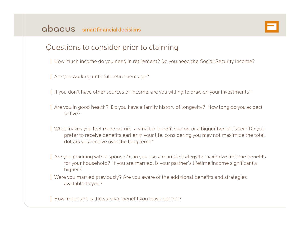

#### Questions to consider prior to claiming

- | How much income do you need in retirement? Do you need the Social Security income?
- Are you working until full retirement age?
- | If you don't have other sources of income, are you willing to draw on your investments?
- Are you in good health? Do you have a family history of longevity? How long do you expect to live?
- | What makes you feel more secure: <sup>a</sup> smaller benefit sooner or <sup>a</sup> bigger benefit later? Do you prefer to receive benefits earlier in your life, considering you may not maximize the total dollars you receive over the long term?
- Are you planning with a spouse? Can you use a marital strategy to maximize lifetime benefits for your household? If you are married, is your partner's lifetime income significantly higher?
- | Were you married previously? Are you aware of the additional benefits and strategies available to you?
- How important is the survivor benefit you leave behind?